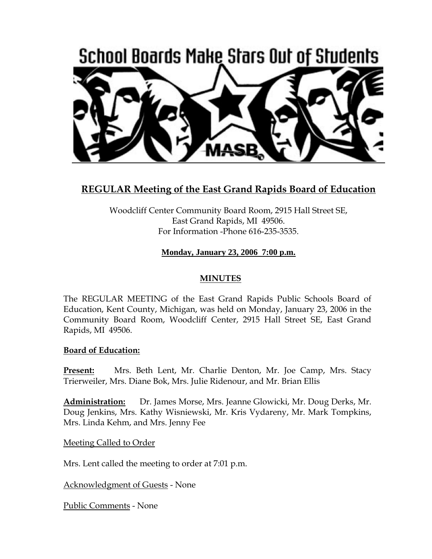

# **REGULAR Meeting of the East Grand Rapids Board of Education**

Woodcliff Center Community Board Room, 2915 Hall Street SE, East Grand Rapids, MI 49506. For Information -Phone 616-235-3535.

# **Monday, January 23, 2006 7:00 p.m.**

### **MINUTES**

The REGULAR MEETING of the East Grand Rapids Public Schools Board of Education, Kent County, Michigan, was held on Monday, January 23, 2006 in the Community Board Room, Woodcliff Center, 2915 Hall Street SE, East Grand Rapids, MI 49506.

#### **Board of Education:**

**Present:** Mrs. Beth Lent, Mr. Charlie Denton, Mr. Joe Camp, Mrs. Stacy Trierweiler, Mrs. Diane Bok, Mrs. Julie Ridenour, and Mr. Brian Ellis

**Administration:** Dr. James Morse, Mrs. Jeanne Glowicki, Mr. Doug Derks, Mr. Doug Jenkins, Mrs. Kathy Wisniewski, Mr. Kris Vydareny, Mr. Mark Tompkins, Mrs. Linda Kehm, and Mrs. Jenny Fee

Meeting Called to Order

Mrs. Lent called the meeting to order at 7:01 p.m.

Acknowledgment of Guests - None

Public Comments - None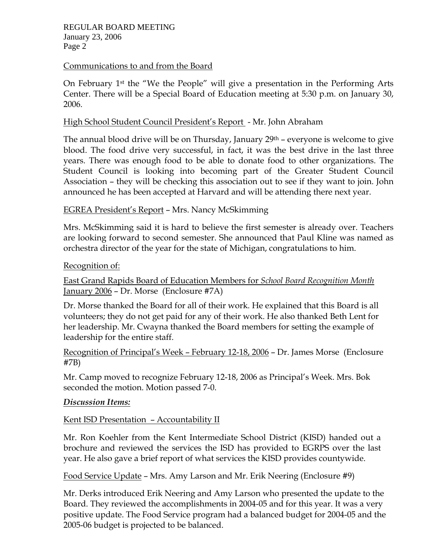#### Communications to and from the Board

On February 1st the "We the People" will give a presentation in the Performing Arts Center. There will be a Special Board of Education meeting at 5:30 p.m. on January 30, 2006.

### High School Student Council President's Report - Mr. John Abraham

The annual blood drive will be on Thursday, January  $29<sup>th</sup>$  – everyone is welcome to give blood. The food drive very successful, in fact, it was the best drive in the last three years. There was enough food to be able to donate food to other organizations. The Student Council is looking into becoming part of the Greater Student Council Association – they will be checking this association out to see if they want to join. John announced he has been accepted at Harvard and will be attending there next year.

## EGREA President's Report – Mrs. Nancy McSkimming

Mrs. McSkimming said it is hard to believe the first semester is already over. Teachers are looking forward to second semester. She announced that Paul Kline was named as orchestra director of the year for the state of Michigan, congratulations to him.

#### Recognition of:

East Grand Rapids Board of Education Members for *School Board Recognition Month* January 2006 – Dr. Morse (Enclosure #7A)

Dr. Morse thanked the Board for all of their work. He explained that this Board is all volunteers; they do not get paid for any of their work. He also thanked Beth Lent for her leadership. Mr. Cwayna thanked the Board members for setting the example of leadership for the entire staff.

Recognition of Principal's Week – February 12-18, 2006 – Dr. James Morse (Enclosure #7B)

Mr. Camp moved to recognize February 12-18, 2006 as Principal's Week. Mrs. Bok seconded the motion. Motion passed 7-0.

#### *Discussion Items:*

# Kent ISD Presentation – Accountability II

Mr. Ron Koehler from the Kent Intermediate School District (KISD) handed out a brochure and reviewed the services the ISD has provided to EGRPS over the last year. He also gave a brief report of what services the KISD provides countywide.

Food Service Update – Mrs. Amy Larson and Mr. Erik Neering (Enclosure #9)

Mr. Derks introduced Erik Neering and Amy Larson who presented the update to the Board. They reviewed the accomplishments in 2004-05 and for this year. It was a very positive update. The Food Service program had a balanced budget for 2004-05 and the 2005-06 budget is projected to be balanced.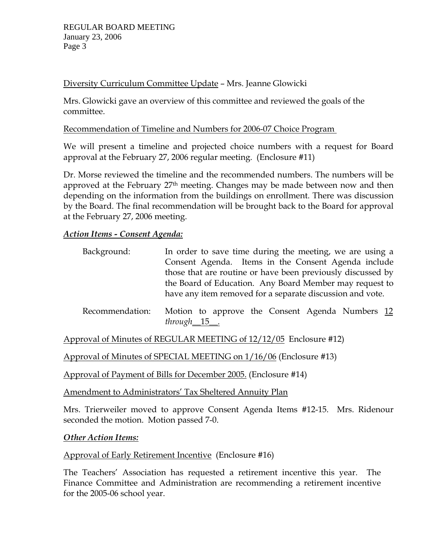# Diversity Curriculum Committee Update – Mrs. Jeanne Glowicki

Mrs. Glowicki gave an overview of this committee and reviewed the goals of the committee.

Recommendation of Timeline and Numbers for 2006-07 Choice Program

We will present a timeline and projected choice numbers with a request for Board approval at the February 27, 2006 regular meeting. (Enclosure #11)

Dr. Morse reviewed the timeline and the recommended numbers. The numbers will be approved at the February 27<sup>th</sup> meeting. Changes may be made between now and then depending on the information from the buildings on enrollment. There was discussion by the Board. The final recommendation will be brought back to the Board for approval at the February 27, 2006 meeting.

## *Action Items - Consent Agenda:*

| Background:     | In order to save time during the meeting, we are using a    |
|-----------------|-------------------------------------------------------------|
|                 | Consent Agenda. Items in the Consent Agenda include         |
|                 | those that are routine or have been previously discussed by |
|                 | the Board of Education. Any Board Member may request to     |
|                 | have any item removed for a separate discussion and vote.   |
| Recommendation: | Motion to approve the Consent Agenda Numbers 12             |

Approval of Minutes of REGULAR MEETING of 12/12/05 Enclosure #12)

Approval of Minutes of SPECIAL MEETING on 1/16/06 (Enclosure #13)

*through*\_\_15\_\_.

Approval of Payment of Bills for December 2005. (Enclosure #14)

Amendment to Administrators' Tax Sheltered Annuity Plan

Mrs. Trierweiler moved to approve Consent Agenda Items #12-15. Mrs. Ridenour seconded the motion. Motion passed 7-0.

#### *Other Action Items:*

Approval of Early Retirement Incentive (Enclosure #16)

The Teachers' Association has requested a retirement incentive this year. The Finance Committee and Administration are recommending a retirement incentive for the 2005-06 school year.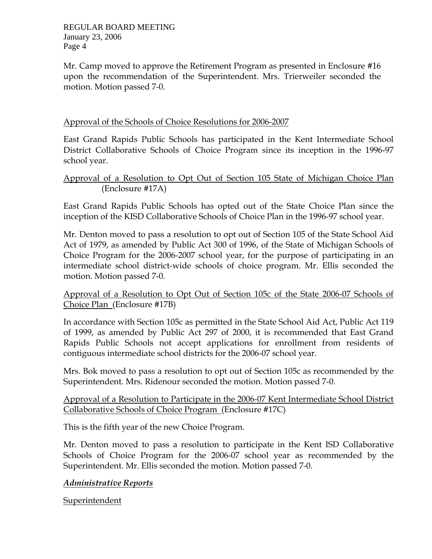REGULAR BOARD MEETING January 23, 2006 Page 4

Mr. Camp moved to approve the Retirement Program as presented in Enclosure #16 upon the recommendation of the Superintendent. Mrs. Trierweiler seconded the motion. Motion passed 7-0.

### Approval of the Schools of Choice Resolutions for 2006-2007

East Grand Rapids Public Schools has participated in the Kent Intermediate School District Collaborative Schools of Choice Program since its inception in the 1996-97 school year.

### Approval of a Resolution to Opt Out of Section 105 State of Michigan Choice Plan (Enclosure #17A)

East Grand Rapids Public Schools has opted out of the State Choice Plan since the inception of the KISD Collaborative Schools of Choice Plan in the 1996-97 school year.

Mr. Denton moved to pass a resolution to opt out of Section 105 of the State School Aid Act of 1979, as amended by Public Act 300 of 1996, of the State of Michigan Schools of Choice Program for the 2006-2007 school year, for the purpose of participating in an intermediate school district-wide schools of choice program. Mr. Ellis seconded the motion. Motion passed 7-0.

## Approval of a Resolution to Opt Out of Section 105c of the State 2006-07 Schools of Choice Plan (Enclosure #17B)

In accordance with Section 105c as permitted in the State School Aid Act, Public Act 119 of 1999, as amended by Public Act 297 of 2000, it is recommended that East Grand Rapids Public Schools not accept applications for enrollment from residents of contiguous intermediate school districts for the 2006-07 school year.

Mrs. Bok moved to pass a resolution to opt out of Section 105c as recommended by the Superintendent. Mrs. Ridenour seconded the motion. Motion passed 7-0.

## Approval of a Resolution to Participate in the 2006-07 Kent Intermediate School District Collaborative Schools of Choice Program (Enclosure #17C)

This is the fifth year of the new Choice Program.

Mr. Denton moved to pass a resolution to participate in the Kent ISD Collaborative Schools of Choice Program for the 2006-07 school year as recommended by the Superintendent. Mr. Ellis seconded the motion. Motion passed 7-0.

# *Administrative Reports*

Superintendent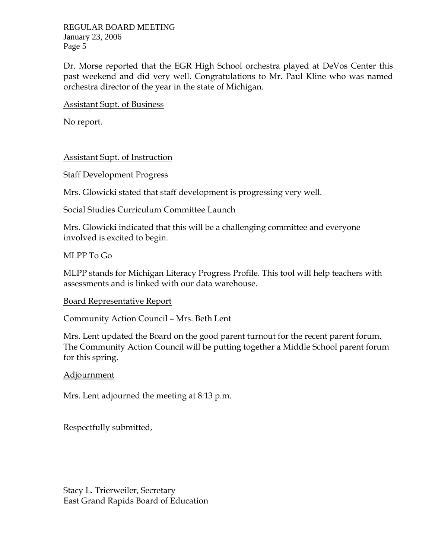REGULAR BOARD MEETING January 23, 2006 Page 5

Dr. Morse reported that the EGR High School orchestra played at DeVos Center this past weekend and did very well. Congratulations to Mr. Paul Kline who was named orchestra director of the year in the state of Michigan.

Assistant Supt. of Business

No report.

#### Assistant Supt. of Instruction

Staff Development Progress

Mrs. Glowicki stated that staff development is progressing very well.

Social Studies Curriculum Committee Launch

Mrs. Glowicki indicated that this will be a challenging committee and everyone involved is excited to begin.

#### MLPP To Go

MLPP stands for Michigan Literacy Progress Profile. This tool will help teachers with assessments and is linked with our data warehouse.

#### Board Representative Report

Community Action Council – Mrs. Beth Lent

Mrs. Lent updated the Board on the good parent turnout for the recent parent forum. The Community Action Council will be putting together a Middle School parent forum for this spring.

#### Adjournment

Mrs. Lent adjourned the meeting at 8:13 p.m.

Respectfully submitted,

Stacy L. Trierweiler, Secretary East Grand Rapids Board of Education